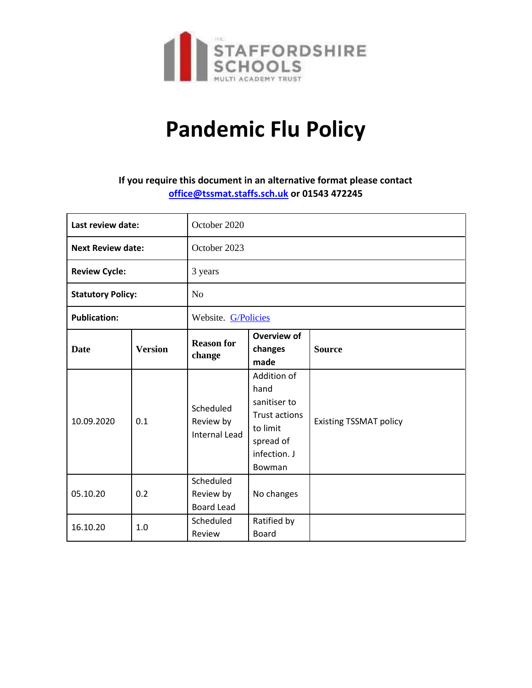

# **Pandemic Flu Policy**

# **If you require this document in an alternative format please contact [office@tssmat.staffs.sch.uk](mailto:office@tssmat.staffs.sch.uk) or 01543 472245**

| Last review date:        |                | October 2020                                   |                                                                                                                |                               |
|--------------------------|----------------|------------------------------------------------|----------------------------------------------------------------------------------------------------------------|-------------------------------|
| <b>Next Review date:</b> |                | October 2023                                   |                                                                                                                |                               |
| <b>Review Cycle:</b>     |                | 3 years                                        |                                                                                                                |                               |
| <b>Statutory Policy:</b> |                | N <sub>o</sub>                                 |                                                                                                                |                               |
| <b>Publication:</b>      |                | Website. G/Policies                            |                                                                                                                |                               |
| <b>Date</b>              | <b>Version</b> | <b>Reason for</b><br>change                    | Overview of<br>changes<br>made                                                                                 | <b>Source</b>                 |
| 10.09.2020               | 0.1            | Scheduled<br>Review by<br><b>Internal Lead</b> | Addition of<br>hand<br>sanitiser to<br><b>Trust actions</b><br>to limit<br>spread of<br>infection. J<br>Bowman | <b>Existing TSSMAT policy</b> |
| 05.10.20                 | 0.2            | Scheduled<br>Review by<br><b>Board Lead</b>    | No changes                                                                                                     |                               |
| 16.10.20                 | 1.0            | Scheduled<br>Review                            | Ratified by<br><b>Board</b>                                                                                    |                               |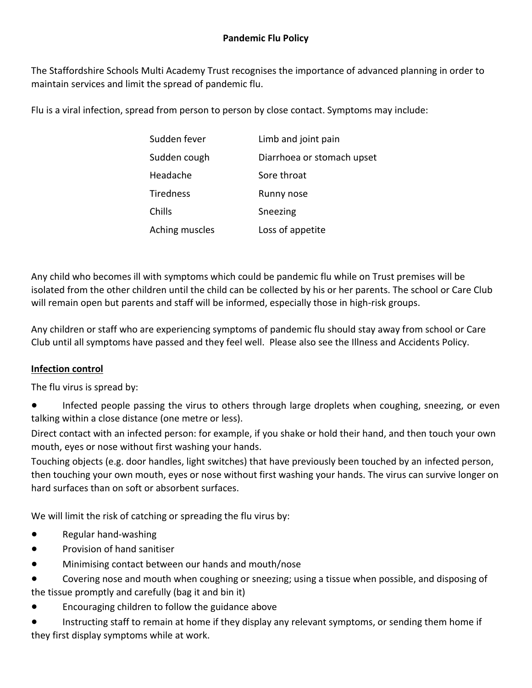The Staffordshire Schools Multi Academy Trust recognises the importance of advanced planning in order to maintain services and limit the spread of pandemic flu.

Flu is a viral infection, spread from person to person by close contact. Symptoms may include:

| Sudden fever   | Limb and joint pain        |
|----------------|----------------------------|
| Sudden cough   | Diarrhoea or stomach upset |
| Headache       | Sore throat                |
| Tiredness      | Runny nose                 |
| Chills         | Sneezing                   |
| Aching muscles | Loss of appetite           |

Any child who becomes ill with symptoms which could be pandemic flu while on Trust premises will be isolated from the other children until the child can be collected by his or her parents. The school or Care Club will remain open but parents and staff will be informed, especially those in high-risk groups.

Any children or staff who are experiencing symptoms of pandemic flu should stay away from school or Care Club until all symptoms have passed and they feel well. Please also see the Illness and Accidents Policy.

## **Infection control**

The flu virus is spread by:

● Infected people passing the virus to others through large droplets when coughing, sneezing, or even talking within a close distance (one metre or less).

Direct contact with an infected person: for example, if you shake or hold their hand, and then touch your own mouth, eyes or nose without first washing your hands.

Touching objects (e.g. door handles, light switches) that have previously been touched by an infected person, then touching your own mouth, eyes or nose without first washing your hands. The virus can survive longer on hard surfaces than on soft or absorbent surfaces.

We will limit the risk of catching or spreading the flu virus by:

- Regular hand-washing
- Provision of hand sanitiser
- Minimising contact between our hands and mouth/nose
- Covering nose and mouth when coughing or sneezing; using a tissue when possible, and disposing of the tissue promptly and carefully (bag it and bin it)
- Encouraging children to follow the guidance above

● Instructing staff to remain at home if they display any relevant symptoms, or sending them home if they first display symptoms while at work.